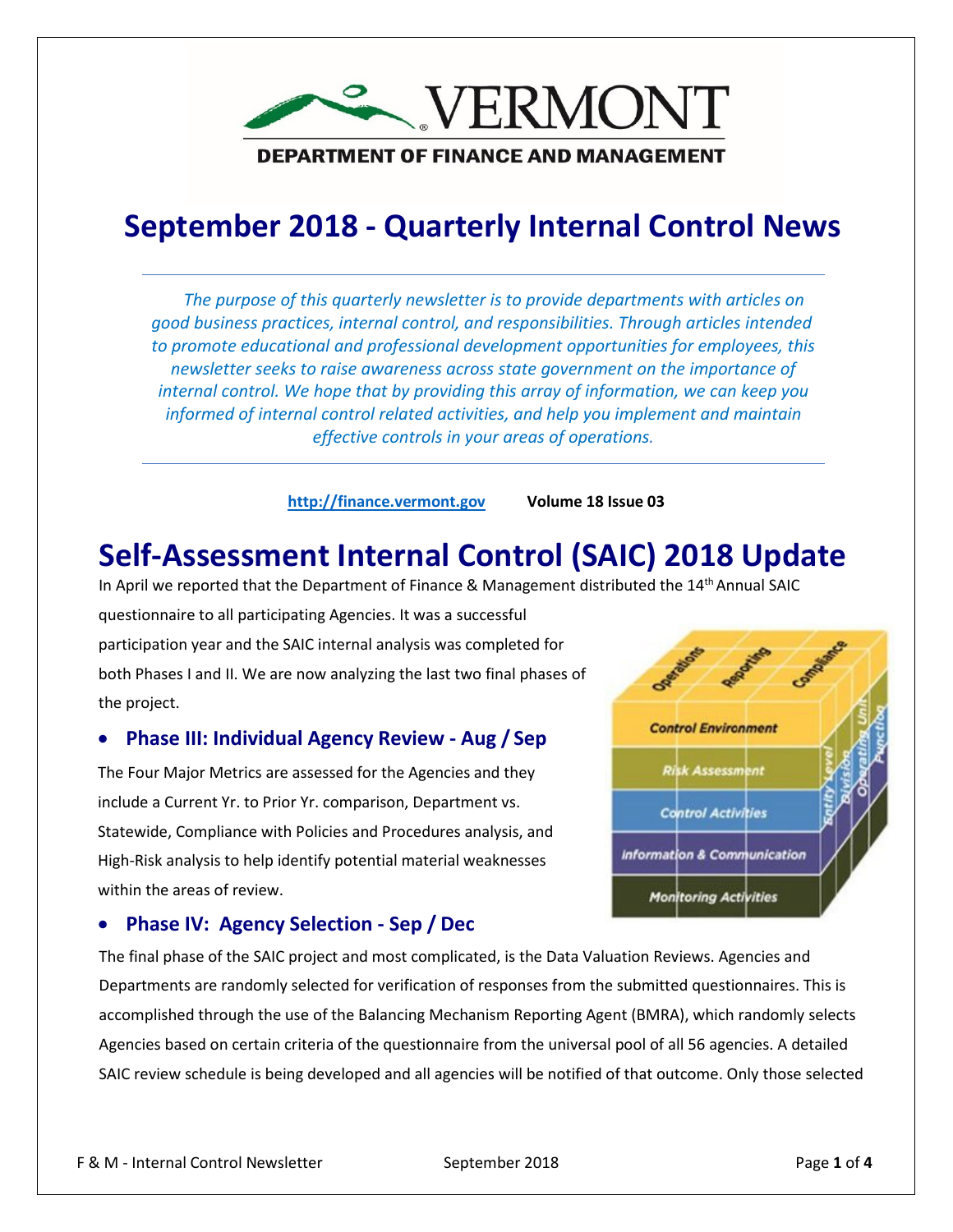

### **September 2018 - Quarterly Internal Control News**

*The purpose of this quarterly newsletter is to provide departments with articles on good business practices, internal control, and responsibilities. Through articles intended to promote educational and professional development opportunities for employees, this newsletter seeks to raise awareness across state government on the importance of internal control. We hope that by providing this array of information, we can keep you informed of internal control related activities, and help you implement and maintain effective controls in your areas of operations.*

**[http://finance.vermont.gov](http://finance.vermont.gov/) Volume 18 Issue 03**

# **Self-Assessment Internal Control (SAIC) 2018 Update**

In April we reported that the Department of Finance & Management distributed the 14<sup>th</sup> Annual SAIC

questionnaire to all participating Agencies. It was a successful participation year and the SAIC internal analysis was completed for both Phases I and II. We are now analyzing the last two final phases of the project.

#### • **Phase III: Individual Agency Review - Aug / Sep**

The Four Major Metrics are assessed for the Agencies and they include a Current Yr. to Prior Yr. comparison, Department vs. Statewide, Compliance with Policies and Procedures analysis, and High-Risk analysis to help identify potential material weaknesses within the areas of review.

#### • **Phase IV: Agency Selection - Sep / Dec**

The final phase of the SAIC project and most complicated, is the Data Valuation Reviews. Agencies and Departments are randomly selected for verification of responses from the submitted questionnaires. This is accomplished through the use of the Balancing Mechanism Reporting Agent (BMRA), which randomly selects Agencies based on certain criteria of the questionnaire from the universal pool of all 56 agencies. A detailed SAIC review schedule is being developed and all agencies will be notified of that outcome. Only those selected

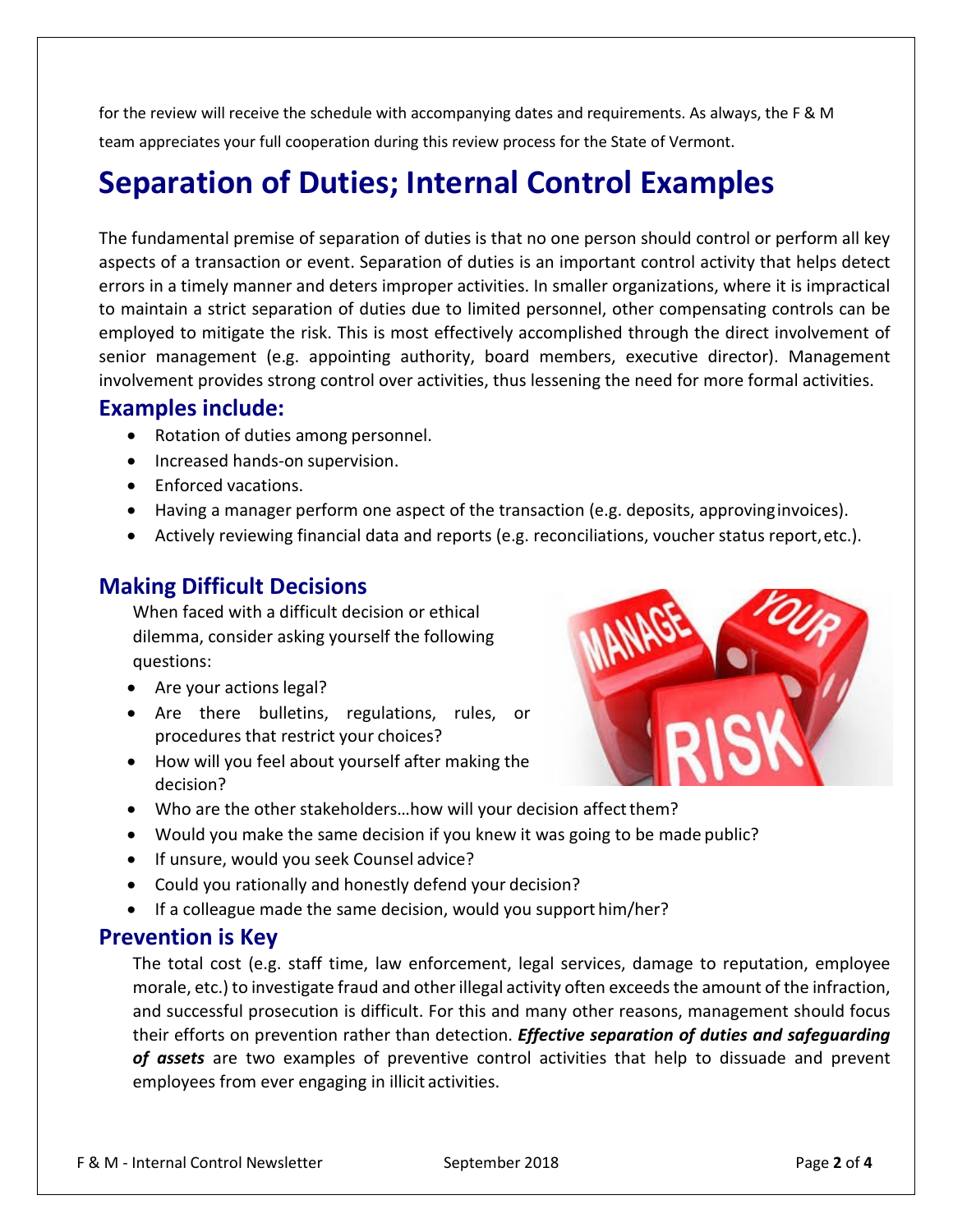for the review will receive the schedule with accompanying dates and requirements. As always, the F & M team appreciates your full cooperation during this review process for the State of Vermont.

# **Separation of Duties; Internal Control Examples**

The fundamental premise of separation of duties is that no one person should control or perform all key aspects of a transaction or event. Separation of duties is an important control activity that helps detect errors in a timely manner and deters improper activities. In smaller organizations, where it is impractical to maintain a strict separation of duties due to limited personnel, other compensating controls can be employed to mitigate the risk. This is most effectively accomplished through the direct involvement of senior management (e.g. appointing authority, board members, executive director). Management involvement provides strong control over activities, thus lessening the need for more formal activities.

#### **Examples include:**

- Rotation of duties among personnel.
- Increased hands-on supervision.
- Enforced vacations.
- Having a manager perform one aspect of the transaction (e.g. deposits, approvinginvoices).
- Actively reviewing financial data and reports (e.g. reconciliations, voucher status report,etc.).

### **Making Difficult Decisions**

When faced with a difficult decision or ethical dilemma, consider asking yourself the following questions:

- Are your actions legal?
- Are there bulletins, regulations, rules, or procedures that restrict your choices?
- How will you feel about yourself after making the decision?



- Who are the other stakeholders...how will your decision affect them?
- Would you make the same decision if you knew it was going to be made public?
- If unsure, would you seek Counsel advice?
- Could you rationally and honestly defend your decision?
- If a colleague made the same decision, would you support him/her?

### **Prevention is Key**

The total cost (e.g. staff time, law enforcement, legal services, damage to reputation, employee morale, etc.) to investigate fraud and otherillegal activity often exceedsthe amount of the infraction, and successful prosecution is difficult. For this and many other reasons, management should focus their efforts on prevention rather than detection. *Effective separation of duties and safeguarding of assets* are two examples of preventive control activities that help to dissuade and prevent employees from ever engaging in illicit activities.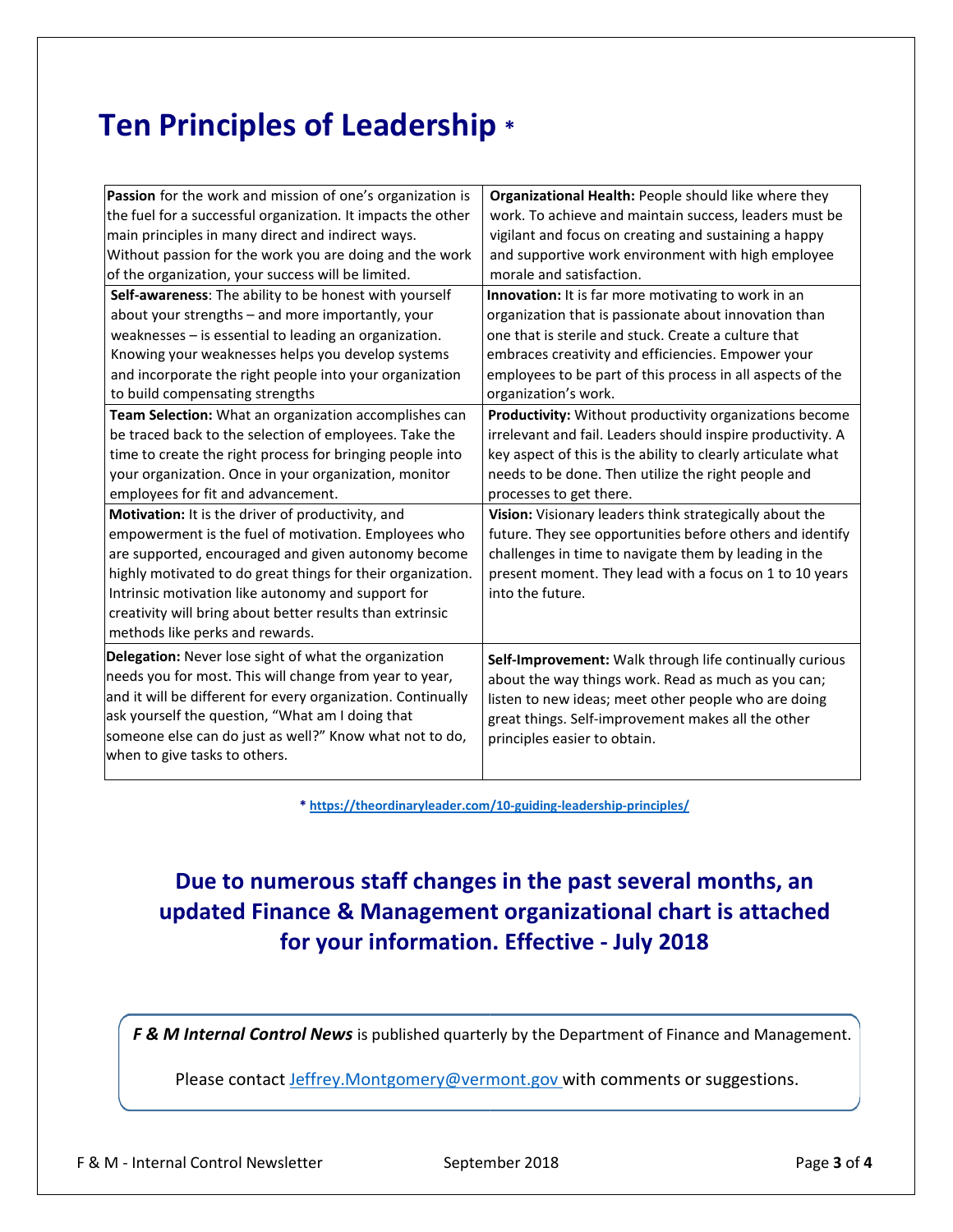# **Ten Principles of Leadership \***

| Passion for the work and mission of one's organization is    | Organizational Health: People should like where they         |
|--------------------------------------------------------------|--------------------------------------------------------------|
| the fuel for a successful organization. It impacts the other | work. To achieve and maintain success, leaders must be       |
| main principles in many direct and indirect ways.            | vigilant and focus on creating and sustaining a happy        |
| Without passion for the work you are doing and the work      | and supportive work environment with high employee           |
| of the organization, your success will be limited.           | morale and satisfaction.                                     |
| Self-awareness: The ability to be honest with yourself       | Innovation: It is far more motivating to work in an          |
| about your strengths - and more importantly, your            | organization that is passionate about innovation than        |
| weaknesses - is essential to leading an organization.        | one that is sterile and stuck. Create a culture that         |
| Knowing your weaknesses helps you develop systems            | embraces creativity and efficiencies. Empower your           |
| and incorporate the right people into your organization      | employees to be part of this process in all aspects of the   |
| to build compensating strengths                              | organization's work.                                         |
| Team Selection: What an organization accomplishes can        | Productivity: Without productivity organizations become      |
| be traced back to the selection of employees. Take the       | irrelevant and fail. Leaders should inspire productivity. A  |
| time to create the right process for bringing people into    | key aspect of this is the ability to clearly articulate what |
| your organization. Once in your organization, monitor        | needs to be done. Then utilize the right people and          |
| employees for fit and advancement.                           | processes to get there.                                      |
| Motivation: It is the driver of productivity, and            | Vision: Visionary leaders think strategically about the      |
| empowerment is the fuel of motivation. Employees who         | future. They see opportunities before others and identify    |
| are supported, encouraged and given autonomy become          | challenges in time to navigate them by leading in the        |
| highly motivated to do great things for their organization.  | present moment. They lead with a focus on 1 to 10 years      |
| Intrinsic motivation like autonomy and support for           | into the future.                                             |
| creativity will bring about better results than extrinsic    |                                                              |
| methods like perks and rewards.                              |                                                              |
| Delegation: Never lose sight of what the organization        | Self-Improvement: Walk through life continually curious      |
| needs you for most. This will change from year to year,      | about the way things work. Read as much as you can;          |
| and it will be different for every organization. Continually | listen to new ideas; meet other people who are doing         |
| ask yourself the question, "What am I doing that             | great things. Self-improvement makes all the other           |
| someone else can do just as well?" Know what not to do,      | principles easier to obtain.                                 |
| when to give tasks to others.                                |                                                              |
|                                                              |                                                              |

**\*<https://theordinaryleader.com/10-guiding-leadership-principles/>**

### **Due to numerous staff changes in the past several months, an updated Finance & Management organizational chart is attached for your information. Effective - July 2018**

*F & M Internal Control News* is published quarterly by the Department of Finance and Management.

Please contact [Jeffrey.Montgomery@vermont.gov w](mailto:Jeffrey.Montgomery@vermont.gov)ith comments or suggestions.